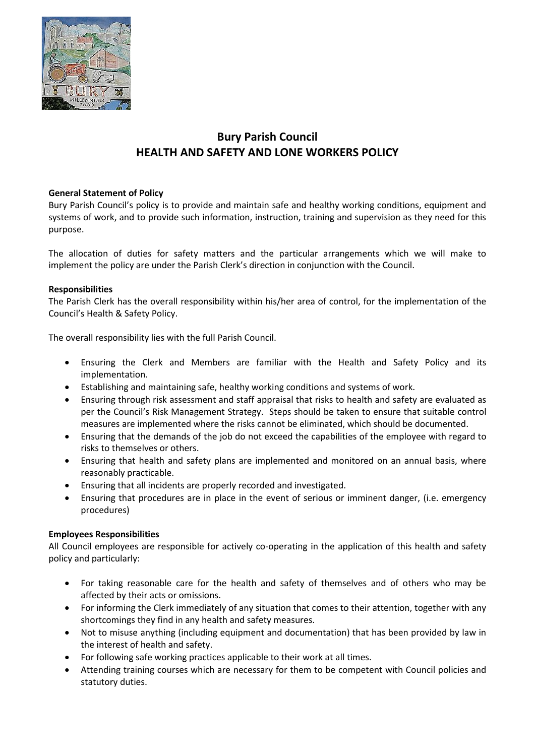

# **Bury Parish Council HEALTH AND SAFETY AND LONE WORKERS POLICY**

### **General Statement of Policy**

Bury Parish Council's policy is to provide and maintain safe and healthy working conditions, equipment and systems of work, and to provide such information, instruction, training and supervision as they need for this purpose.

The allocation of duties for safety matters and the particular arrangements which we will make to implement the policy are under the Parish Clerk's direction in conjunction with the Council.

### **Responsibilities**

The Parish Clerk has the overall responsibility within his/her area of control, for the implementation of the Council's Health & Safety Policy.

The overall responsibility lies with the full Parish Council.

- Ensuring the Clerk and Members are familiar with the Health and Safety Policy and its implementation.
- Establishing and maintaining safe, healthy working conditions and systems of work.
- Ensuring through risk assessment and staff appraisal that risks to health and safety are evaluated as per the Council's Risk Management Strategy. Steps should be taken to ensure that suitable control measures are implemented where the risks cannot be eliminated, which should be documented.
- Ensuring that the demands of the job do not exceed the capabilities of the employee with regard to risks to themselves or others.
- Ensuring that health and safety plans are implemented and monitored on an annual basis, where reasonably practicable.
- Ensuring that all incidents are properly recorded and investigated.
- Ensuring that procedures are in place in the event of serious or imminent danger, (i.e. emergency procedures)

#### **Employees Responsibilities**

All Council employees are responsible for actively co-operating in the application of this health and safety policy and particularly:

- For taking reasonable care for the health and safety of themselves and of others who may be affected by their acts or omissions.
- For informing the Clerk immediately of any situation that comes to their attention, together with any shortcomings they find in any health and safety measures.
- Not to misuse anything (including equipment and documentation) that has been provided by law in the interest of health and safety.
- For following safe working practices applicable to their work at all times.
- Attending training courses which are necessary for them to be competent with Council policies and statutory duties.